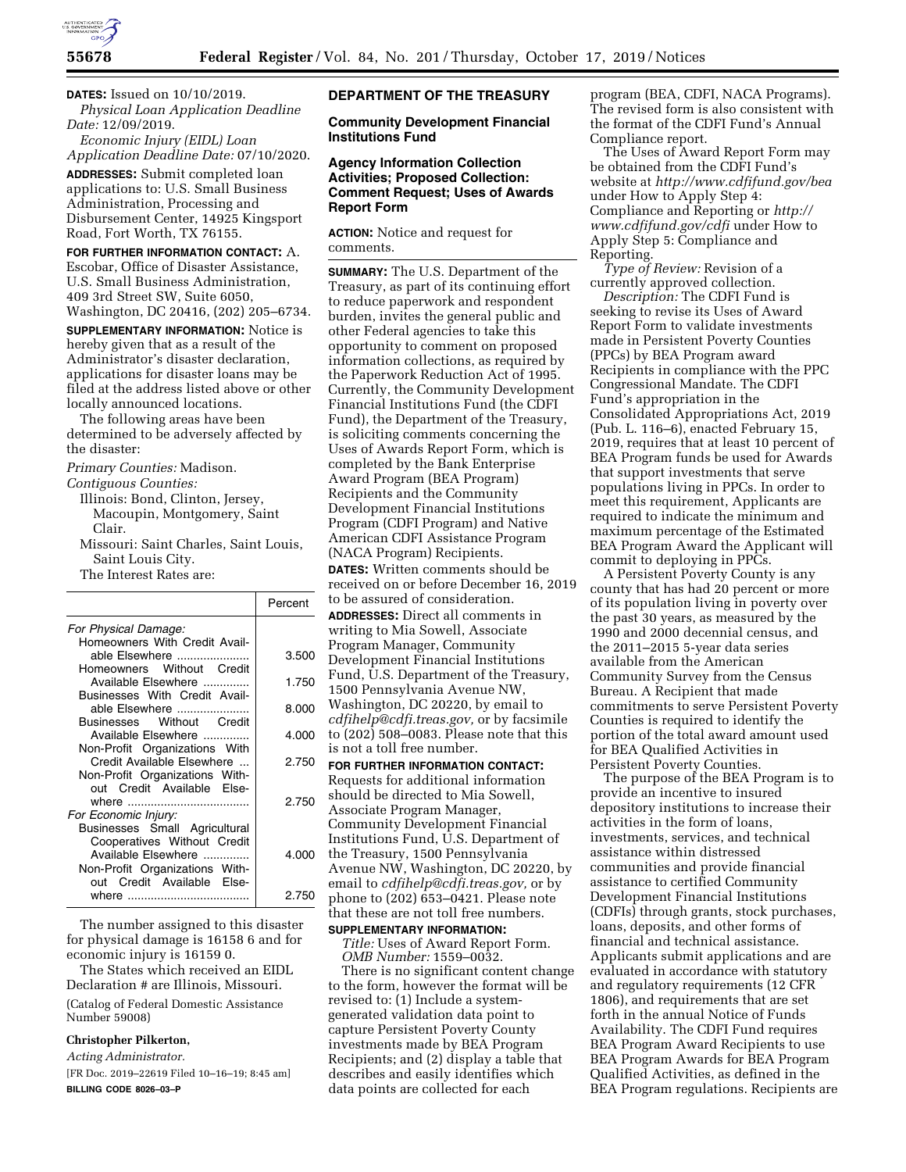

**DATES:** Issued on 10/10/2019. *Physical Loan Application Deadline Date:* 12/09/2019.

*Economic Injury (EIDL) Loan Application Deadline Date:* 07/10/2020.

**ADDRESSES:** Submit completed loan applications to: U.S. Small Business Administration, Processing and Disbursement Center, 14925 Kingsport Road, Fort Worth, TX 76155.

**FOR FURTHER INFORMATION CONTACT:** A. Escobar, Office of Disaster Assistance, U.S. Small Business Administration, 409 3rd Street SW, Suite 6050, Washington, DC 20416, (202) 205–6734.

**SUPPLEMENTARY INFORMATION:** Notice is hereby given that as a result of the Administrator's disaster declaration, applications for disaster loans may be filed at the address listed above or other locally announced locations.

The following areas have been determined to be adversely affected by the disaster:

*Primary Counties:* Madison.

*Contiguous Counties:* 

- Illinois: Bond, Clinton, Jersey, Macoupin, Montgomery, Saint Clair.
- Missouri: Saint Charles, Saint Louis, Saint Louis City.

The Interest Rates are:

|                                                                                                                       | Percent |
|-----------------------------------------------------------------------------------------------------------------------|---------|
| For Physical Damage:                                                                                                  |         |
| Homeowners With Credit Avail-<br>able Elsewhere<br>Homeowners Without Credit                                          | 3.500   |
| Available Elsewhere                                                                                                   | 1.750   |
| Businesses With Credit Avail-<br>able Elsewhere<br>Businesses Without Credit                                          | 8.000   |
| Available Elsewhere                                                                                                   | 4.000   |
| Non-Profit Organizations With<br>Credit Available Elsewhere<br>Non-Profit Organizations With-                         | 2.750   |
| out Credit Available Else-<br>For Economic Injury:                                                                    | 2.750   |
| Businesses Small Agricultural<br>Cooperatives Without Credit<br>Available Elsewhere<br>Non-Profit Organizations With- | 4.000   |
| out Credit Available Else-                                                                                            | 2.750   |

The number assigned to this disaster for physical damage is 16158 6 and for economic injury is 16159 0.

The States which received an EIDL Declaration # are Illinois, Missouri.

(Catalog of Federal Domestic Assistance Number 59008)

## **Christopher Pilkerton,**

*Acting Administrator.* 

[FR Doc. 2019–22619 Filed 10–16–19; 8:45 am] **BILLING CODE 8026–03–P** 

## **DEPARTMENT OF THE TREASURY**

**Community Development Financial Institutions Fund** 

# **Agency Information Collection Activities; Proposed Collection: Comment Request; Uses of Awards Report Form**

**ACTION:** Notice and request for comments.

**SUMMARY:** The U.S. Department of the Treasury, as part of its continuing effort to reduce paperwork and respondent burden, invites the general public and other Federal agencies to take this opportunity to comment on proposed information collections, as required by the Paperwork Reduction Act of 1995. Currently, the Community Development Financial Institutions Fund (the CDFI Fund), the Department of the Treasury, is soliciting comments concerning the Uses of Awards Report Form, which is completed by the Bank Enterprise Award Program (BEA Program) Recipients and the Community Development Financial Institutions Program (CDFI Program) and Native American CDFI Assistance Program (NACA Program) Recipients.

**DATES:** Written comments should be received on or before December 16, 2019 to be assured of consideration. **ADDRESSES:** Direct all comments in writing to Mia Sowell, Associate Program Manager, Community Development Financial Institutions Fund, U.S. Department of the Treasury, 1500 Pennsylvania Avenue NW, Washington, DC 20220, by email to *[cdfihelp@cdfi.treas.gov,](mailto:cdfihelp@cdfi.treas.gov)* or by facsimile to (202) 508–0083. Please note that this is not a toll free number.

**FOR FURTHER INFORMATION CONTACT:**  Requests for additional information should be directed to Mia Sowell, Associate Program Manager, Community Development Financial Institutions Fund, U.S. Department of the Treasury, 1500 Pennsylvania Avenue NW, Washington, DC 20220, by email to *[cdfihelp@cdfi.treas.gov,](mailto:cdfihelp@cdfi.treas.gov)* or by phone to (202) 653–0421. Please note that these are not toll free numbers. **SUPPLEMENTARY INFORMATION:** 

*Title:* Uses of Award Report Form.

*OMB Number:* 1559–0032. There is no significant content change to the form, however the format will be revised to: (1) Include a systemgenerated validation data point to capture Persistent Poverty County investments made by BEA Program Recipients; and (2) display a table that describes and easily identifies which data points are collected for each

program (BEA, CDFI, NACA Programs). The revised form is also consistent with the format of the CDFI Fund's Annual Compliance report.

The Uses of Award Report Form may be obtained from the CDFI Fund's website at *<http://www.cdfifund.gov/bea>*  under How to Apply Step 4: Compliance and Reporting or *[http://](http://www.cdfifund.gov/cdfi) [www.cdfifund.gov/cdfi](http://www.cdfifund.gov/cdfi)* under How to Apply Step 5: Compliance and Reporting.

*Type of Review:* Revision of a currently approved collection.

*Description:* The CDFI Fund is seeking to revise its Uses of Award Report Form to validate investments made in Persistent Poverty Counties (PPCs) by BEA Program award Recipients in compliance with the PPC Congressional Mandate. The CDFI Fund's appropriation in the Consolidated Appropriations Act, 2019 (Pub. L. 116–6), enacted February 15, 2019, requires that at least 10 percent of BEA Program funds be used for Awards that support investments that serve populations living in PPCs. In order to meet this requirement, Applicants are required to indicate the minimum and maximum percentage of the Estimated BEA Program Award the Applicant will commit to deploying in PPCs.

A Persistent Poverty County is any county that has had 20 percent or more of its population living in poverty over the past 30 years, as measured by the 1990 and 2000 decennial census, and the 2011–2015 5-year data series available from the American Community Survey from the Census Bureau. A Recipient that made commitments to serve Persistent Poverty Counties is required to identify the portion of the total award amount used for BEA Qualified Activities in Persistent Poverty Counties.

The purpose of the BEA Program is to provide an incentive to insured depository institutions to increase their activities in the form of loans, investments, services, and technical assistance within distressed communities and provide financial assistance to certified Community Development Financial Institutions (CDFIs) through grants, stock purchases, loans, deposits, and other forms of financial and technical assistance. Applicants submit applications and are evaluated in accordance with statutory and regulatory requirements (12 CFR 1806), and requirements that are set forth in the annual Notice of Funds Availability. The CDFI Fund requires BEA Program Award Recipients to use BEA Program Awards for BEA Program Qualified Activities, as defined in the BEA Program regulations. Recipients are